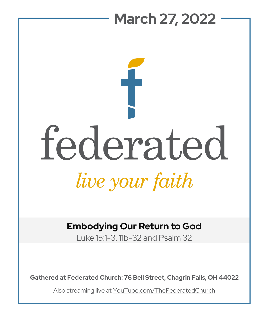

# **Embodying Our Return to God**

Luke 15:1-3, 11b-32 and Psalm 32

**Gathered at Federated Church: 76 Bell Street, Chagrin Falls, OH 44022**

Also streaming live at YouTube.com/TheFederatedChurch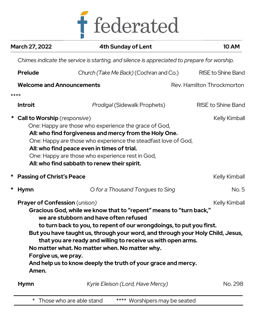

| <b>March 27, 2022</b>                                                                                                                                                                                                                                                                                                                                                                   | <b>4th Sunday of Lent</b>                                                                                                                                                                                                                                                                                                                                                                                                                                 | <b>10 AM</b>               |
|-----------------------------------------------------------------------------------------------------------------------------------------------------------------------------------------------------------------------------------------------------------------------------------------------------------------------------------------------------------------------------------------|-----------------------------------------------------------------------------------------------------------------------------------------------------------------------------------------------------------------------------------------------------------------------------------------------------------------------------------------------------------------------------------------------------------------------------------------------------------|----------------------------|
|                                                                                                                                                                                                                                                                                                                                                                                         | Chimes indicate the service is starting, and silence is appreciated to prepare for worship.                                                                                                                                                                                                                                                                                                                                                               |                            |
| <b>Prelude</b>                                                                                                                                                                                                                                                                                                                                                                          | Church (Take Me Back) (Cochran and Co.)                                                                                                                                                                                                                                                                                                                                                                                                                   | <b>RISE to Shine Band</b>  |
| <b>Welcome and Announcements</b>                                                                                                                                                                                                                                                                                                                                                        |                                                                                                                                                                                                                                                                                                                                                                                                                                                           | Rev. Hamilton Throckmorton |
| ****                                                                                                                                                                                                                                                                                                                                                                                    |                                                                                                                                                                                                                                                                                                                                                                                                                                                           |                            |
| <b>Introit</b>                                                                                                                                                                                                                                                                                                                                                                          | Prodigal (Sidewalk Prophets)                                                                                                                                                                                                                                                                                                                                                                                                                              | <b>RISE to Shine Band</b>  |
| * Call to Worship (responsive)<br>Kelly Kimball<br>One: Happy are those who experience the grace of God,<br>All: who find forgiveness and mercy from the Holy One.<br>One: Happy are those who experience the steadfast love of God,<br>All: who find peace even in times of trial.<br>One: Happy are those who experience rest in God,<br>All: who find sabbath to renew their spirit. |                                                                                                                                                                                                                                                                                                                                                                                                                                                           |                            |
| <b>Passing of Christ's Peace</b>                                                                                                                                                                                                                                                                                                                                                        |                                                                                                                                                                                                                                                                                                                                                                                                                                                           | Kelly Kimball              |
| *<br>Hymn                                                                                                                                                                                                                                                                                                                                                                               | O for a Thousand Tongues to Sing                                                                                                                                                                                                                                                                                                                                                                                                                          | No. 5                      |
| <b>Prayer of Confession</b> (unison)<br>Forgive us, we pray.<br>Amen.                                                                                                                                                                                                                                                                                                                   | Gracious God, while we know that to "repent" means to "turn back,"<br>we are stubborn and have often refused<br>to turn back to you, to repent of our wrongdoings, to put you first.<br>But you have taught us, through your word, and through your Holy Child, Jesus,<br>that you are ready and willing to receive us with open arms.<br>No matter what. No matter when. No matter why.<br>And help us to know deeply the truth of your grace and mercy. | Kelly Kimball              |
| <b>Hymn</b>                                                                                                                                                                                                                                                                                                                                                                             | Kyrie Eleison (Lord, Have Mercy)                                                                                                                                                                                                                                                                                                                                                                                                                          | No. 298                    |
|                                                                                                                                                                                                                                                                                                                                                                                         |                                                                                                                                                                                                                                                                                                                                                                                                                                                           |                            |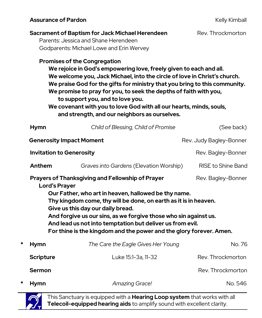### Assurance of Pardon **Assurance of Pardon Kelly Kimball**

|                                                                                                                                                                                                                                                                                                                                                                                                                                                                         |                                 | <b>Sacrament of Baptism for Jack Michael Herendeen</b><br>Parents: Jessica and Shane Herendeen<br>Godparents: Michael Lowe and Erin Wervey<br><b>Promises of the Congregation</b><br>We rejoice in God's empowering love, freely given to each and all.<br>We welcome you, Jack Michael, into the circle of love in Christ's church.<br>We praise God for the gifts for ministry that you bring to this community.<br>We promise to pray for you, to seek the depths of faith with you,<br>to support you, and to love you.<br>We covenant with you to love God with all our hearts, minds, souls,<br>and strength, and our neighbors as ourselves. | Rev. Throckmorton       |  |
|-------------------------------------------------------------------------------------------------------------------------------------------------------------------------------------------------------------------------------------------------------------------------------------------------------------------------------------------------------------------------------------------------------------------------------------------------------------------------|---------------------------------|-----------------------------------------------------------------------------------------------------------------------------------------------------------------------------------------------------------------------------------------------------------------------------------------------------------------------------------------------------------------------------------------------------------------------------------------------------------------------------------------------------------------------------------------------------------------------------------------------------------------------------------------------------|-------------------------|--|
|                                                                                                                                                                                                                                                                                                                                                                                                                                                                         | <b>Hymn</b>                     | Child of Blessing, Child of Promise                                                                                                                                                                                                                                                                                                                                                                                                                                                                                                                                                                                                                 | (See back)              |  |
| <b>Generosity Impact Moment</b>                                                                                                                                                                                                                                                                                                                                                                                                                                         |                                 |                                                                                                                                                                                                                                                                                                                                                                                                                                                                                                                                                                                                                                                     | Rev. Judy Bagley-Bonner |  |
|                                                                                                                                                                                                                                                                                                                                                                                                                                                                         | <b>Invitation to Generosity</b> |                                                                                                                                                                                                                                                                                                                                                                                                                                                                                                                                                                                                                                                     | Rev. Bagley-Bonner      |  |
|                                                                                                                                                                                                                                                                                                                                                                                                                                                                         | Anthem                          | Graves into Gardens (Elevation Worship)                                                                                                                                                                                                                                                                                                                                                                                                                                                                                                                                                                                                             | RISE to Shine Band      |  |
| Prayers of Thanksgiving and Fellowship of Prayer<br>Rev. Bagley-Bonner<br><b>Lord's Prayer</b><br>Our Father, who art in heaven, hallowed be thy name.<br>Thy kingdom come, thy will be done, on earth as it is in heaven.<br>Give us this day our daily bread.<br>And forgive us our sins, as we forgive those who sin against us.<br>And lead us not into temptation but deliver us from evil.<br>For thine is the kingdom and the power and the glory forever. Amen. |                                 |                                                                                                                                                                                                                                                                                                                                                                                                                                                                                                                                                                                                                                                     |                         |  |
| *                                                                                                                                                                                                                                                                                                                                                                                                                                                                       | <b>Hymn</b>                     | The Care the Eagle Gives Her Young                                                                                                                                                                                                                                                                                                                                                                                                                                                                                                                                                                                                                  | No. 76                  |  |
|                                                                                                                                                                                                                                                                                                                                                                                                                                                                         | <b>Scripture</b>                | Luke 15:1-3a, 11-32                                                                                                                                                                                                                                                                                                                                                                                                                                                                                                                                                                                                                                 | Rev. Throckmorton       |  |
|                                                                                                                                                                                                                                                                                                                                                                                                                                                                         | Sermon                          |                                                                                                                                                                                                                                                                                                                                                                                                                                                                                                                                                                                                                                                     | Rev. Throckmorton       |  |
| *                                                                                                                                                                                                                                                                                                                                                                                                                                                                       | <b>Hymn</b>                     | Amazing Grace!                                                                                                                                                                                                                                                                                                                                                                                                                                                                                                                                                                                                                                      | No. 546                 |  |

This Sanctuary is equipped with a **Hearing Loop system** that works with all **Telecoil-equipped hearing aids** to amplify sound with excellent clarity.